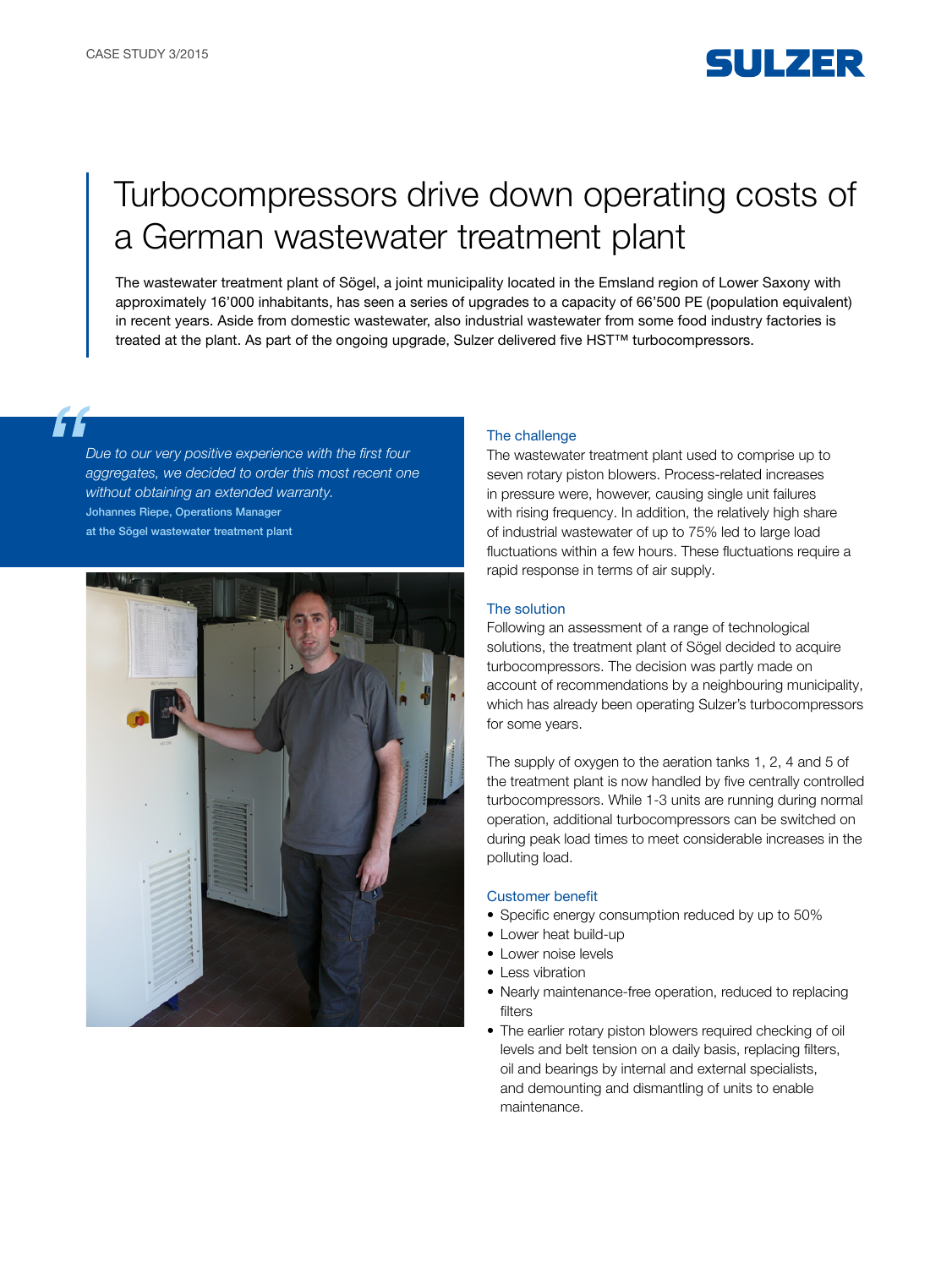

# Turbocompressors drive down operating costs of a German wastewater treatment plant

The wastewater treatment plant of Sögel, a joint municipality located in the Emsland region of Lower Saxony with approximately 16'000 inhabitants, has seen a series of upgrades to a capacity of 66'500 PE (population equivalent) in recent years. Aside from domestic wastewater, also industrial wastewater from some food industry factories is treated at the plant. As part of the ongoing upgrade, Sulzer delivered five HST™ turbocompressors.

*Due to our very positive experience with the first four aggregates, we decided to order this most recent one without obtaining an extended warranty.*  Johannes Riepe, Operations Manager at the Sögel wastewater treatment plant



#### The challenge

The wastewater treatment plant used to comprise up to seven rotary piston blowers. Process-related increases in pressure were, however, causing single unit failures with rising frequency. In addition, the relatively high share of industrial wastewater of up to 75% led to large load fluctuations within a few hours. These fluctuations require a rapid response in terms of air supply.

### The solution

Following an assessment of a range of technological solutions, the treatment plant of Sögel decided to acquire turbocompressors. The decision was partly made on account of recommendations by a neighbouring municipality, which has already been operating Sulzer's turbocompressors for some years.

The supply of oxygen to the aeration tanks 1, 2, 4 and 5 of the treatment plant is now handled by five centrally controlled turbocompressors. While 1-3 units are running during normal operation, additional turbocompressors can be switched on during peak load times to meet considerable increases in the polluting load.

### Customer benefit

- Specific energy consumption reduced by up to 50%
- Lower heat build-up
- Lower noise levels
- Less vibration
- Nearly maintenance-free operation, reduced to replacing filters
- The earlier rotary piston blowers required checking of oil levels and belt tension on a daily basis, replacing filters, oil and bearings by internal and external specialists, and demounting and dismantling of units to enable maintenance.